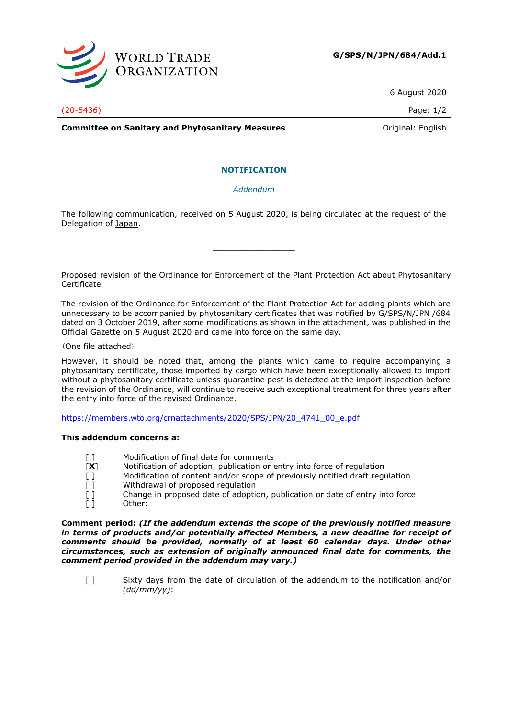

6 August 2020

(20-5436) Page: 1/2

**Committee on Sanitary and Phytosanitary Measures Committee on Sanitary and Phytosanitary Measures Committee And American** 

## **NOTIFICATION**

*Addendum*

The following communication, received on 5 August 2020, is being circulated at the request of the Delegation of Japan.

**\_\_\_\_\_\_\_\_\_\_\_\_\_\_\_**

## Proposed revision of the Ordinance for Enforcement of the Plant Protection Act about Phytosanitary Certificate

The revision of the Ordinance for Enforcement of the Plant Protection Act for adding plants which are unnecessary to be accompanied by phytosanitary certificates that was notified by G/SPS/N/JPN /684 dated on 3 October 2019, after some modifications as shown in the attachment, was published in the Official Gazette on 5 August 2020 and came into force on the same day.

(One file attached)

However, it should be noted that, among the plants which came to require accompanying a phytosanitary certificate, those imported by cargo which have been exceptionally allowed to import without a phytosanitary certificate unless quarantine pest is detected at the import inspection before the revision of the Ordinance, will continue to receive such exceptional treatment for three years after the entry into force of the revised Ordinance.

[https://members.wto.org/crnattachments/2020/SPS/JPN/20\\_4741\\_00\\_e.pdf](https://members.wto.org/crnattachments/2020/SPS/JPN/20_4741_00_e.pdf)

## **This addendum concerns a:**

- [] Modification of final date for comments
- [X] Notification of adoption, publication or entry into force of regulation [] Nodification of content and/or scope of previously notified draft regulation
- Modification of content and/or scope of previously notified draft regulation
- [] Withdrawal of proposed regulation
- [ ] Change in proposed date of adoption, publication or date of entry into force [ ] Other:

**Comment period:** *(If the addendum extends the scope of the previously notified measure in terms of products and/or potentially affected Members, a new deadline for receipt of comments should be provided, normally of at least 60 calendar days. Under other circumstances, such as extension of originally announced final date for comments, the comment period provided in the addendum may vary.)*

[ ] Sixty days from the date of circulation of the addendum to the notification and/or *(dd/mm/yy)*: